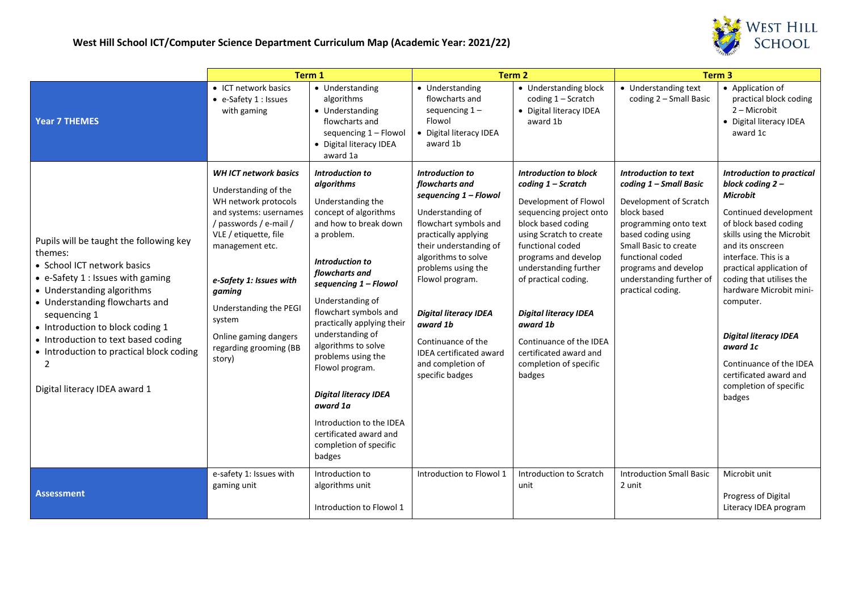

|                                                                                                                                                                                                                                                                                                                                                                             | Term 1                                                                                                                                                                                                                                                                                                            |                                                                                                                                                                                                                                                                                                                                                                                                                                                                                       | Term 2                                                                                                                                                                                                                                                                                                                                                                       |                                                                                                                                                                                                                                                                                                                                                                                           | Term <sub>3</sub>                                                                                                                                                                                                                                            |                                                                                                                                                                                                                                                                                                                                                                                                                                         |
|-----------------------------------------------------------------------------------------------------------------------------------------------------------------------------------------------------------------------------------------------------------------------------------------------------------------------------------------------------------------------------|-------------------------------------------------------------------------------------------------------------------------------------------------------------------------------------------------------------------------------------------------------------------------------------------------------------------|---------------------------------------------------------------------------------------------------------------------------------------------------------------------------------------------------------------------------------------------------------------------------------------------------------------------------------------------------------------------------------------------------------------------------------------------------------------------------------------|------------------------------------------------------------------------------------------------------------------------------------------------------------------------------------------------------------------------------------------------------------------------------------------------------------------------------------------------------------------------------|-------------------------------------------------------------------------------------------------------------------------------------------------------------------------------------------------------------------------------------------------------------------------------------------------------------------------------------------------------------------------------------------|--------------------------------------------------------------------------------------------------------------------------------------------------------------------------------------------------------------------------------------------------------------|-----------------------------------------------------------------------------------------------------------------------------------------------------------------------------------------------------------------------------------------------------------------------------------------------------------------------------------------------------------------------------------------------------------------------------------------|
| <b>Year 7 THEMES</b>                                                                                                                                                                                                                                                                                                                                                        | • ICT network basics<br>• e-Safety 1 : Issues<br>with gaming                                                                                                                                                                                                                                                      | • Understanding<br>algorithms<br>• Understanding<br>flowcharts and<br>sequencing 1 - Flowol<br>• Digital literacy IDEA<br>award 1a                                                                                                                                                                                                                                                                                                                                                    | • Understanding<br>flowcharts and<br>sequencing $1 -$<br>Flowol<br>• Digital literacy IDEA<br>award 1b                                                                                                                                                                                                                                                                       | • Understanding block<br>coding $1 -$ Scratch<br>• Digital literacy IDEA<br>award 1b                                                                                                                                                                                                                                                                                                      | • Understanding text<br>coding 2 - Small Basic                                                                                                                                                                                                               | • Application of<br>practical block coding<br>2 - Microbit<br>• Digital literacy IDEA<br>award 1c                                                                                                                                                                                                                                                                                                                                       |
| Pupils will be taught the following key<br>themes:<br>• School ICT network basics<br>$\bullet$ e-Safety 1 : Issues with gaming<br>• Understanding algorithms<br>• Understanding flowcharts and<br>sequencing 1<br>• Introduction to block coding 1<br>• Introduction to text based coding<br>• Introduction to practical block coding<br>2<br>Digital literacy IDEA award 1 | <b>WHICT network basics</b><br>Understanding of the<br>WH network protocols<br>and systems: usernames<br>/ passwords / e-mail /<br>VLE / etiquette, file<br>management etc.<br>e-Safety 1: Issues with<br>gaming<br>Understanding the PEGI<br>system<br>Online gaming dangers<br>regarding grooming (BB<br>story) | Introduction to<br>algorithms<br>Understanding the<br>concept of algorithms<br>and how to break down<br>a problem.<br>Introduction to<br>flowcharts and<br>sequencing 1 - Flowol<br>Understanding of<br>flowchart symbols and<br>practically applying their<br>understanding of<br>algorithms to solve<br>problems using the<br>Flowol program.<br><b>Digital literacy IDEA</b><br>award 1a<br>Introduction to the IDEA<br>certificated award and<br>completion of specific<br>badges | <b>Introduction to</b><br>flowcharts and<br>sequencing 1 - Flowol<br>Understanding of<br>flowchart symbols and<br>practically applying<br>their understanding of<br>algorithms to solve<br>problems using the<br>Flowol program.<br><b>Digital literacy IDEA</b><br>award 1b<br>Continuance of the<br><b>IDEA</b> certificated award<br>and completion of<br>specific badges | <b>Introduction to block</b><br>coding 1 - Scratch<br>Development of Flowol<br>sequencing project onto<br>block based coding<br>using Scratch to create<br>functional coded<br>programs and develop<br>understanding further<br>of practical coding.<br><b>Digital literacy IDEA</b><br>award 1b<br>Continuance of the IDEA<br>certificated award and<br>completion of specific<br>badges | Introduction to text<br>coding 1 - Small Basic<br>Development of Scratch<br>block based<br>programming onto text<br>based coding using<br>Small Basic to create<br>functional coded<br>programs and develop<br>understanding further of<br>practical coding. | <b>Introduction to practical</b><br>block coding 2 -<br><b>Microbit</b><br>Continued development<br>of block based coding<br>skills using the Microbit<br>and its onscreen<br>interface. This is a<br>practical application of<br>coding that utilises the<br>hardware Microbit mini-<br>computer.<br><b>Digital literacy IDEA</b><br>award 1c<br>Continuance of the IDEA<br>certificated award and<br>completion of specific<br>badges |
| <b>Assessment</b>                                                                                                                                                                                                                                                                                                                                                           | e-safety 1: Issues with<br>gaming unit                                                                                                                                                                                                                                                                            | Introduction to<br>algorithms unit<br>Introduction to Flowol 1                                                                                                                                                                                                                                                                                                                                                                                                                        | Introduction to Flowol 1                                                                                                                                                                                                                                                                                                                                                     | Introduction to Scratch<br>unit                                                                                                                                                                                                                                                                                                                                                           | <b>Introduction Small Basic</b><br>2 unit                                                                                                                                                                                                                    | Microbit unit<br>Progress of Digital<br>Literacy IDEA program                                                                                                                                                                                                                                                                                                                                                                           |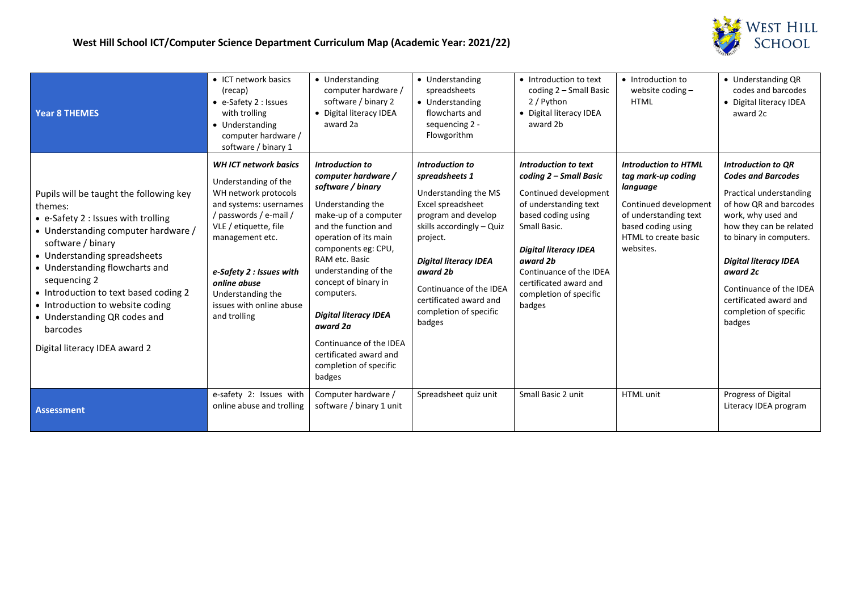



| <b>Year 8 THEMES</b>                                                                                                                                                                                                                                                                                                                                                                              | • ICT network basics<br>(recap)<br>• e-Safety 2 : Issues<br>with trolling<br>• Understanding<br>computer hardware /<br>software / binary 1                                                                                                                                                | • Understanding<br>computer hardware /<br>software / binary 2<br>• Digital literacy IDEA<br>award 2a                                                                                                                                                                                                                                                                                                   | • Understanding<br>spreadsheets<br>• Understanding<br>flowcharts and<br>sequencing 2 -<br>Flowgorithm                                                                                                                                                                                      | • Introduction to text<br>coding 2 - Small Basic<br>2 / Python<br>• Digital literacy IDEA<br>award 2b                                                                                                                                                                       | • Introduction to<br>website coding $-$<br><b>HTML</b>                                                                                                                     | • Understanding QR<br>codes and barcodes<br>• Digital literacy IDEA<br>award 2c                                                                                                                                                                                                                                              |
|---------------------------------------------------------------------------------------------------------------------------------------------------------------------------------------------------------------------------------------------------------------------------------------------------------------------------------------------------------------------------------------------------|-------------------------------------------------------------------------------------------------------------------------------------------------------------------------------------------------------------------------------------------------------------------------------------------|--------------------------------------------------------------------------------------------------------------------------------------------------------------------------------------------------------------------------------------------------------------------------------------------------------------------------------------------------------------------------------------------------------|--------------------------------------------------------------------------------------------------------------------------------------------------------------------------------------------------------------------------------------------------------------------------------------------|-----------------------------------------------------------------------------------------------------------------------------------------------------------------------------------------------------------------------------------------------------------------------------|----------------------------------------------------------------------------------------------------------------------------------------------------------------------------|------------------------------------------------------------------------------------------------------------------------------------------------------------------------------------------------------------------------------------------------------------------------------------------------------------------------------|
| Pupils will be taught the following key<br>themes:<br>• e-Safety 2 : Issues with trolling<br>• Understanding computer hardware /<br>software / binary<br>• Understanding spreadsheets<br>• Understanding flowcharts and<br>sequencing 2<br>• Introduction to text based coding 2<br>• Introduction to website coding<br>• Understanding QR codes and<br>barcodes<br>Digital literacy IDEA award 2 | <b>WH ICT network basics</b><br>Understanding of the<br>WH network protocols<br>and systems: usernames<br>/ passwords / e-mail /<br>VLE / etiquette, file<br>management etc.<br>e-Safety 2 : Issues with<br>online abuse<br>Understanding the<br>issues with online abuse<br>and trolling | Introduction to<br>computer hardware /<br>software / binary<br>Understanding the<br>make-up of a computer<br>and the function and<br>operation of its main<br>components eg: CPU,<br>RAM etc. Basic<br>understanding of the<br>concept of binary in<br>computers.<br><b>Digital literacy IDEA</b><br>award 2a<br>Continuance of the IDEA<br>certificated award and<br>completion of specific<br>badges | <b>Introduction to</b><br>spreadsheets 1<br>Understanding the MS<br>Excel spreadsheet<br>program and develop<br>skills accordingly - Quiz<br>project.<br><b>Digital literacy IDEA</b><br>award 2b<br>Continuance of the IDEA<br>certificated award and<br>completion of specific<br>badges | Introduction to text<br>coding 2 - Small Basic<br>Continued development<br>of understanding text<br>based coding using<br>Small Basic.<br><b>Digital literacy IDEA</b><br>award 2b<br>Continuance of the IDEA<br>certificated award and<br>completion of specific<br>badges | <b>Introduction to HTML</b><br>tag mark-up coding<br>language<br>Continued development<br>of understanding text<br>based coding using<br>HTML to create basic<br>websites. | <b>Introduction to QR</b><br><b>Codes and Barcodes</b><br>Practical understanding<br>of how QR and barcodes<br>work, why used and<br>how they can be related<br>to binary in computers.<br><b>Digital literacy IDEA</b><br>award 2c<br>Continuance of the IDEA<br>certificated award and<br>completion of specific<br>badges |
| <b>Assessment</b>                                                                                                                                                                                                                                                                                                                                                                                 | e-safety 2: Issues with<br>online abuse and trolling                                                                                                                                                                                                                                      | Computer hardware /<br>software / binary 1 unit                                                                                                                                                                                                                                                                                                                                                        | Spreadsheet quiz unit                                                                                                                                                                                                                                                                      | Small Basic 2 unit                                                                                                                                                                                                                                                          | <b>HTML</b> unit                                                                                                                                                           | Progress of Digital<br>Literacy IDEA program                                                                                                                                                                                                                                                                                 |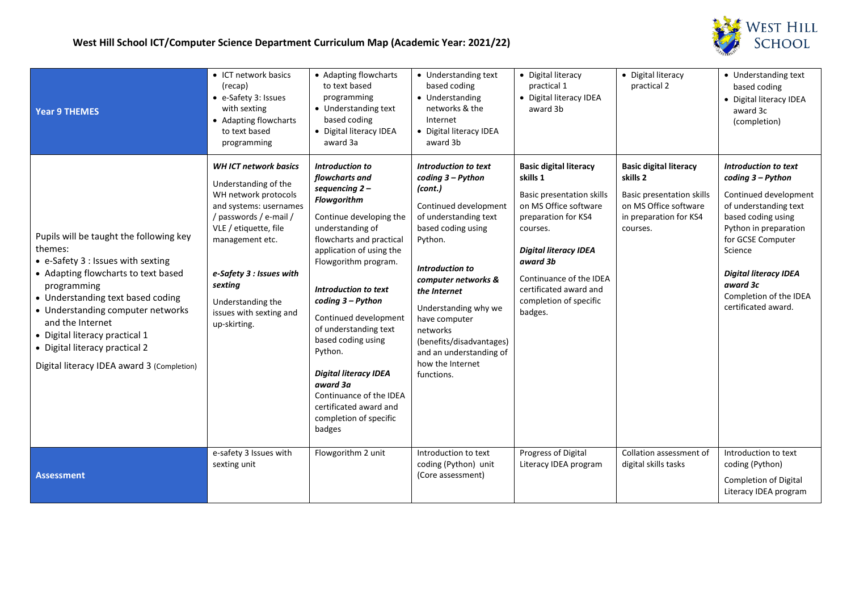

| <b>Year 9 THEMES</b>                                                                                                                                                                                                                                                                                                                                           | • ICT network basics<br>(recap)<br>• e-Safety 3: Issues<br>with sexting<br>• Adapting flowcharts<br>to text based<br>programming                                                                                                                                                   | • Adapting flowcharts<br>to text based<br>programming<br>• Understanding text<br>based coding<br>• Digital literacy IDEA<br>award 3a                                                                                                                                                                                                                                                                                                                                            | • Understanding text<br>based coding<br>• Understanding<br>networks & the<br>Internet<br>• Digital literacy IDEA<br>award 3b                                                                                                                                                                                                                           | • Digital literacy<br>practical 1<br>• Digital literacy IDEA<br>award 3b                                                                                                                                                                                                        | • Digital literacy<br>practical 2                                                                                                            | • Understanding text<br>based coding<br>• Digital literacy IDEA<br>award 3c<br>(completion)                                                                                                                                                                             |
|----------------------------------------------------------------------------------------------------------------------------------------------------------------------------------------------------------------------------------------------------------------------------------------------------------------------------------------------------------------|------------------------------------------------------------------------------------------------------------------------------------------------------------------------------------------------------------------------------------------------------------------------------------|---------------------------------------------------------------------------------------------------------------------------------------------------------------------------------------------------------------------------------------------------------------------------------------------------------------------------------------------------------------------------------------------------------------------------------------------------------------------------------|--------------------------------------------------------------------------------------------------------------------------------------------------------------------------------------------------------------------------------------------------------------------------------------------------------------------------------------------------------|---------------------------------------------------------------------------------------------------------------------------------------------------------------------------------------------------------------------------------------------------------------------------------|----------------------------------------------------------------------------------------------------------------------------------------------|-------------------------------------------------------------------------------------------------------------------------------------------------------------------------------------------------------------------------------------------------------------------------|
| Pupils will be taught the following key<br>themes:<br>• e-Safety 3 : Issues with sexting<br>• Adapting flowcharts to text based<br>programming<br>• Understanding text based coding<br>• Understanding computer networks<br>and the Internet<br>• Digital literacy practical 1<br>• Digital literacy practical 2<br>Digital literacy IDEA award 3 (Completion) | <b>WHICT network basics</b><br>Understanding of the<br>WH network protocols<br>and systems: usernames<br>/ passwords / e-mail /<br>VLE / etiquette, file<br>management etc.<br>e-Safety 3 : Issues with<br>sexting<br>Understanding the<br>issues with sexting and<br>up-skirting. | Introduction to<br>flowcharts and<br>sequencing $2 -$<br><b>Flowgorithm</b><br>Continue developing the<br>understanding of<br>flowcharts and practical<br>application of using the<br>Flowgorithm program.<br>Introduction to text<br>coding 3 – Python<br>Continued development<br>of understanding text<br>based coding using<br>Python.<br><b>Digital literacy IDEA</b><br>award 3a<br>Continuance of the IDEA<br>certificated award and<br>completion of specific<br>badges | Introduction to text<br>coding 3 - Python<br>(cont.)<br>Continued development<br>of understanding text<br>based coding using<br>Python.<br><b>Introduction to</b><br>computer networks &<br>the Internet<br>Understanding why we<br>have computer<br>networks<br>(benefits/disadvantages)<br>and an understanding of<br>how the Internet<br>functions. | <b>Basic digital literacy</b><br>skills 1<br><b>Basic presentation skills</b><br>on MS Office software<br>preparation for KS4<br>courses.<br><b>Digital literacy IDEA</b><br>award 3b<br>Continuance of the IDEA<br>certificated award and<br>completion of specific<br>badges. | <b>Basic digital literacy</b><br>skills 2<br><b>Basic presentation skills</b><br>on MS Office software<br>in preparation for KS4<br>courses. | Introduction to text<br>coding 3 - Python<br>Continued development<br>of understanding text<br>based coding using<br>Python in preparation<br>for GCSE Computer<br>Science<br><b>Digital literacy IDEA</b><br>award 3c<br>Completion of the IDEA<br>certificated award. |
| <b>Assessment</b>                                                                                                                                                                                                                                                                                                                                              | e-safety 3 Issues with<br>sexting unit                                                                                                                                                                                                                                             | Flowgorithm 2 unit                                                                                                                                                                                                                                                                                                                                                                                                                                                              | Introduction to text<br>coding (Python) unit<br>(Core assessment)                                                                                                                                                                                                                                                                                      | Progress of Digital<br>Literacy IDEA program                                                                                                                                                                                                                                    | Collation assessment of<br>digital skills tasks                                                                                              | Introduction to text<br>coding (Python)<br><b>Completion of Digital</b><br>Literacy IDEA program                                                                                                                                                                        |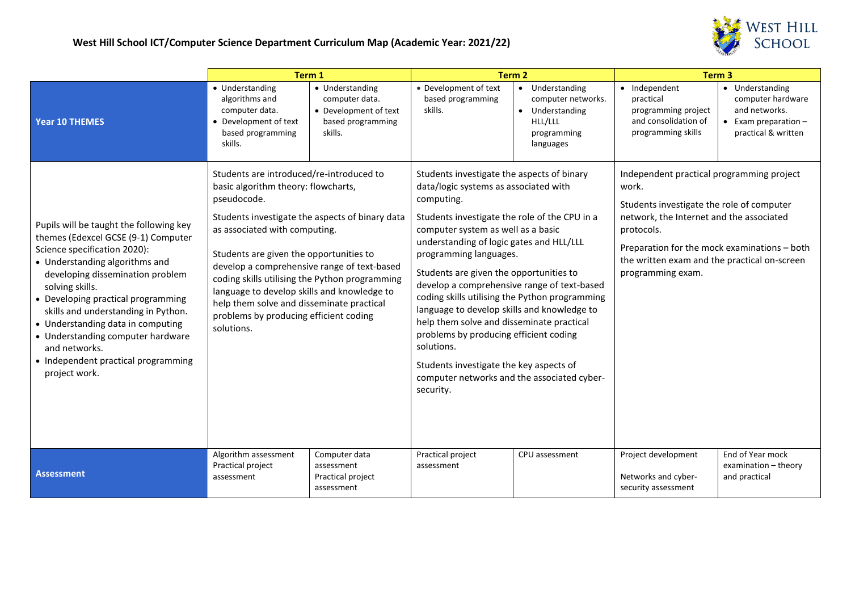

|                                                                                                                                                                                                                                                                                                                                                                                                                                         | Term 1                                                                                                                                                                                                                                                                                                                                                                                                                                                                             |                                                                                            | Term <sub>2</sub>                                                                                                                                                                                                                                                                                                                                                                                                                                                                                                                                                                                                                                                     |                                                                                                            | Term <sub>3</sub>                                                                                                                                                                                                                                                              |                                                                                                    |
|-----------------------------------------------------------------------------------------------------------------------------------------------------------------------------------------------------------------------------------------------------------------------------------------------------------------------------------------------------------------------------------------------------------------------------------------|------------------------------------------------------------------------------------------------------------------------------------------------------------------------------------------------------------------------------------------------------------------------------------------------------------------------------------------------------------------------------------------------------------------------------------------------------------------------------------|--------------------------------------------------------------------------------------------|-----------------------------------------------------------------------------------------------------------------------------------------------------------------------------------------------------------------------------------------------------------------------------------------------------------------------------------------------------------------------------------------------------------------------------------------------------------------------------------------------------------------------------------------------------------------------------------------------------------------------------------------------------------------------|------------------------------------------------------------------------------------------------------------|--------------------------------------------------------------------------------------------------------------------------------------------------------------------------------------------------------------------------------------------------------------------------------|----------------------------------------------------------------------------------------------------|
| <b>Year 10 THEMES</b>                                                                                                                                                                                                                                                                                                                                                                                                                   | • Understanding<br>algorithms and<br>computer data.<br>• Development of text<br>based programming<br>skills.                                                                                                                                                                                                                                                                                                                                                                       | • Understanding<br>computer data.<br>• Development of text<br>based programming<br>skills. | • Development of text<br>based programming<br>skills.                                                                                                                                                                                                                                                                                                                                                                                                                                                                                                                                                                                                                 | Understanding<br>$\bullet$<br>computer networks.<br>• Understanding<br>HLL/LLL<br>programming<br>languages | • Independent<br>practical<br>programming project<br>and consolidation of<br>programming skills                                                                                                                                                                                | Understanding<br>computer hardware<br>and networks.<br>Exam preparation $-$<br>practical & written |
| Pupils will be taught the following key<br>themes (Edexcel GCSE (9-1) Computer<br>Science specification 2020):<br>• Understanding algorithms and<br>developing dissemination problem<br>solving skills.<br>• Developing practical programming<br>skills and understanding in Python.<br>• Understanding data in computing<br>• Understanding computer hardware<br>and networks.<br>• Independent practical programming<br>project work. | Students are introduced/re-introduced to<br>basic algorithm theory: flowcharts,<br>pseudocode.<br>Students investigate the aspects of binary data<br>as associated with computing.<br>Students are given the opportunities to<br>develop a comprehensive range of text-based<br>coding skills utilising the Python programming<br>language to develop skills and knowledge to<br>help them solve and disseminate practical<br>problems by producing efficient coding<br>solutions. |                                                                                            | Students investigate the aspects of binary<br>data/logic systems as associated with<br>computing.<br>Students investigate the role of the CPU in a<br>computer system as well as a basic<br>understanding of logic gates and HLL/LLL<br>programming languages.<br>Students are given the opportunities to<br>develop a comprehensive range of text-based<br>coding skills utilising the Python programming<br>language to develop skills and knowledge to<br>help them solve and disseminate practical<br>problems by producing efficient coding<br>solutions.<br>Students investigate the key aspects of<br>computer networks and the associated cyber-<br>security. |                                                                                                            | Independent practical programming project<br>work.<br>Students investigate the role of computer<br>network, the Internet and the associated<br>protocols.<br>Preparation for the mock examinations - both<br>the written exam and the practical on-screen<br>programming exam. |                                                                                                    |
| <b>Assessment</b>                                                                                                                                                                                                                                                                                                                                                                                                                       | Algorithm assessment<br>Practical project<br>assessment                                                                                                                                                                                                                                                                                                                                                                                                                            | Computer data<br>assessment<br>Practical project<br>assessment                             | Practical project<br>assessment                                                                                                                                                                                                                                                                                                                                                                                                                                                                                                                                                                                                                                       | CPU assessment                                                                                             | Project development<br>Networks and cyber-<br>security assessment                                                                                                                                                                                                              | End of Year mock<br>examination - theory<br>and practical                                          |